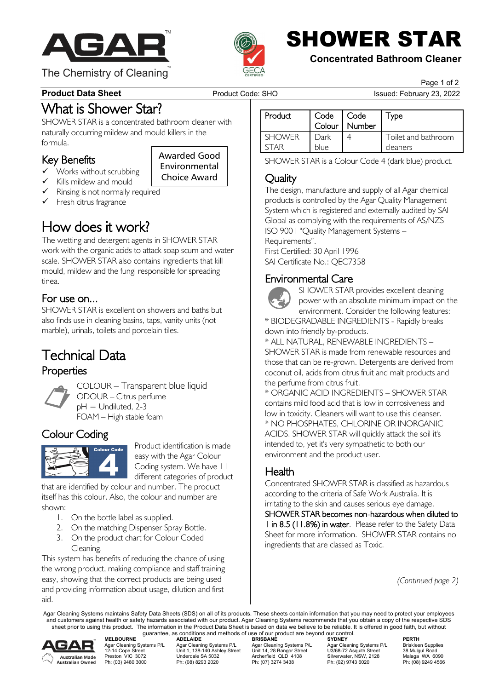

The Chemistry of Cleaning



SHOWER STAR

### **Concentrated Bathroom Cleaner**

Page 1 of 2

### **Product Data Sheet** Product Code: SHO Issued: February 23, 2022

What is Shower Star?<br>SHOWER STAR is a concentrated bathroom cleaner with

naturally occurring mildew and mould killers in the formula.

> Awarded Good Environmental Choice Award

### Key Benefits

- Works without scrubbing
	- Kills mildew and mould
- $\checkmark$  Rinsing is not normally required
- $\checkmark$  Fresh citrus fragrance

**How does it work?**<br>The wetting and detergent agents in SHOWER STAR work with the organic acids to attack soap scum and water scale. SHOWER STAR also contains ingredients that kill mould, mildew and the fungi responsible for spreading tinea.

**For use on...**<br>SHOWER STAR is excellent on showers and baths but also finds use in cleaning basins, taps, vanity units (not marble), urinals, toilets and porcelain tiles.

# Technical Data Properties



COLOUR – Transparent blue liquid ODOUR – Citrus perfume  $pH =$  Undiluted, 2-3 FOAM – High stable foam



Colour Coding Product identification is made easy with the Agar Colour Coding system. We have 11 different categories of product

that are identified by colour and number. The product itself has this colour. Also, the colour and number are shown:

- 1. On the bottle label as supplied.
- 2. On the matching Dispenser Spray Bottle.
- 3. On the product chart for Colour Coded Cleaning.

This system has benefits of reducing the chance of using the wrong product, making compliance and staff training easy, showing that the correct products are being used and providing information about usage, dilution and first aid.

| Product       | Code<br>Colour | Code<br>Number | $^{\mathsf{T}}$ ype |
|---------------|----------------|----------------|---------------------|
| <b>SHOWER</b> | Dark           |                | Toilet and bathroom |
| T∆R           | blue           |                | cleaners            |

SHOWER STAR is a Colour Code 4 (dark blue) product.

**Quality**<br>The design, manufacture and supply of all Agar chemical products is controlled by the Agar Quality Management System which is registered and externally audited by SAI Global as complying with the requirements of AS/NZS ISO 9001 "Quality Management Systems – Requirements".

First Certified: 30 April 1996 SAI Certificate No.: QEC7358



Environmental Care<br>SHOWER STAR provides excellent cleaning power with an absolute minimum impact on the environment. Consider the following features:

\* BIODEGRADABLE INGREDIENTS - Rapidly breaks down into friendly by-products.

\* ALL NATURAL, RENEWABLE INGREDIENTS – SHOWER STAR is made from renewable resources and those that can be re-grown. Detergents are derived from coconut oil, acids from citrus fruit and malt products and the perfume from citrus fruit.

\* ORGANIC ACID INGREDIENTS – SHOWER STAR contains mild food acid that is low in corrosiveness and low in toxicity. Cleaners will want to use this cleanser. \* NO PHOSPHATES, CHLORINE OR INORGANIC ACIDS. SHOWER STAR will quickly attack the soil it's intended to, yet it's very sympathetic to both our environment and the product user.

**Health**<br>Concentrated SHOWER STAR is classified as hazardous according to the criteria of Safe Work Australia. It is irritating to the skin and causes serious eye damage.

SHOWER STAR becomes non-hazardous when diluted to 1 in 8.5 (11.8%) in water. Please refer to the Safety Data Sheet for more information. SHOWER STAR contains no ingredients that are classed as Toxic.

*(Continued page 2)*

Agar Cleaning Systems maintains Safety Data Sheets (SDS) on all of its products. These sheets contain information that you may need to protect your employees and customers against health or safety hazards associated with our product. Agar Cleaning Systems recommends that you obtain a copy of the respective SDS sheet prior to using this product. The information in the Product Data Sheet is based on data we believe to be reliable. It is offered in good faith, but without



guarantee, as conditions and methods of use of our product are beyond our control.<br>ADELAIDE BRISBANE SYDNEY **MELBOURNE ADELAIDE BRISBANE SYDNEY PERTH** Agar Cleaning Systems P/L Agar Cleaning Systems P/L Agar Cleaning Systems P/L Agar Cleaning Systems P/L Briskleen Supplies<br>12-14 Cope Street Unit 1, 138-140 Ashley Street Unit 14, 28 Bangor Street U3/68-72 Preston VIC 3072 Cleaning Systems P/L<br>
Preston VIC 3072 Cleaning Systems P/L<br>
Preston VIC 3072 Underdale SA 5032 Archerfield QLD 4108 Silverwater, NSW, 2128 Malaga WA 6090<br>
Preston VIC 3072 Underdale SA 5032<br>
Ph: (03) 9480

Ph: (07) 3274 3438